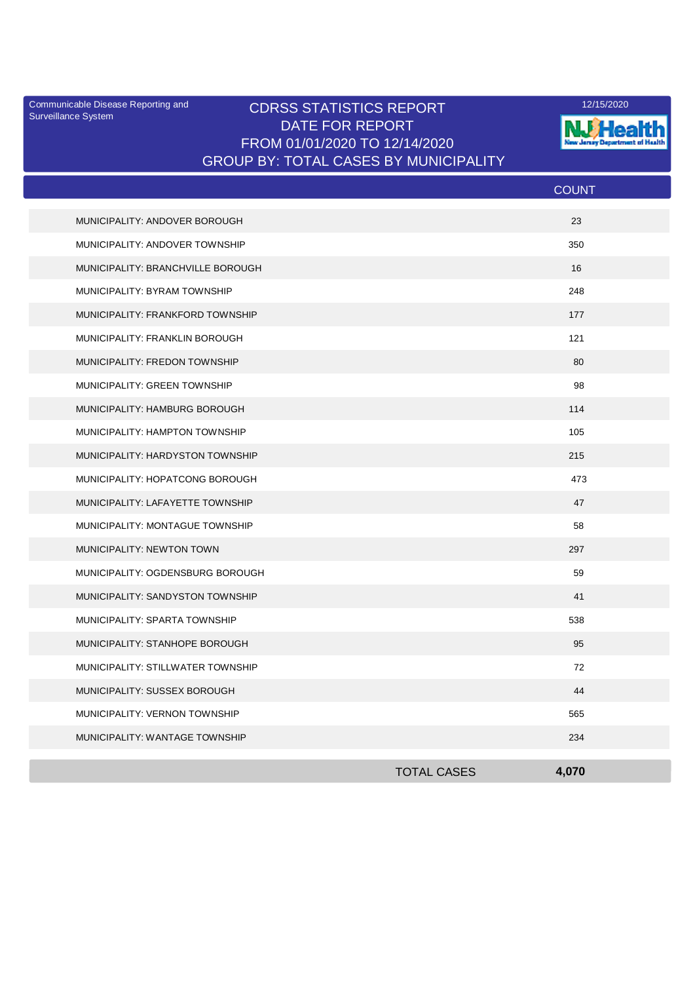Surveillance System

## Communicable Disease Reporting and **CDRSS STATISTICS REPORT** 12/15/2020<br>Curreillance Statem DATE FOR REPORT FROM 01/01/2020 TO 12/14/2020 GROUP BY: TOTAL CASES BY MUNICIPALITY



|                                   |                    | <b>COUNT</b> |  |
|-----------------------------------|--------------------|--------------|--|
| MUNICIPALITY: ANDOVER BOROUGH     |                    | 23           |  |
| MUNICIPALITY: ANDOVER TOWNSHIP    |                    | 350          |  |
| MUNICIPALITY: BRANCHVILLE BOROUGH |                    | 16           |  |
| MUNICIPALITY: BYRAM TOWNSHIP      |                    | 248          |  |
| MUNICIPALITY: FRANKFORD TOWNSHIP  |                    | 177          |  |
| MUNICIPALITY: FRANKLIN BOROUGH    |                    | 121          |  |
| MUNICIPALITY: FREDON TOWNSHIP     |                    | 80           |  |
| MUNICIPALITY: GREEN TOWNSHIP      |                    | 98           |  |
| MUNICIPALITY: HAMBURG BOROUGH     |                    | 114          |  |
| MUNICIPALITY: HAMPTON TOWNSHIP    |                    | 105          |  |
| MUNICIPALITY: HARDYSTON TOWNSHIP  |                    | 215          |  |
| MUNICIPALITY: HOPATCONG BOROUGH   |                    | 473          |  |
| MUNICIPALITY: LAFAYETTE TOWNSHIP  |                    | 47           |  |
| MUNICIPALITY: MONTAGUE TOWNSHIP   |                    | 58           |  |
| MUNICIPALITY: NEWTON TOWN         |                    | 297          |  |
| MUNICIPALITY: OGDENSBURG BOROUGH  |                    | 59           |  |
| MUNICIPALITY: SANDYSTON TOWNSHIP  |                    | 41           |  |
| MUNICIPALITY: SPARTA TOWNSHIP     |                    | 538          |  |
| MUNICIPALITY: STANHOPE BOROUGH    |                    | 95           |  |
| MUNICIPALITY: STILLWATER TOWNSHIP |                    | 72           |  |
| MUNICIPALITY: SUSSEX BOROUGH      |                    | 44           |  |
| MUNICIPALITY: VERNON TOWNSHIP     |                    | 565          |  |
| MUNICIPALITY: WANTAGE TOWNSHIP    |                    | 234          |  |
|                                   | <b>TOTAL CASES</b> | 4.070        |  |